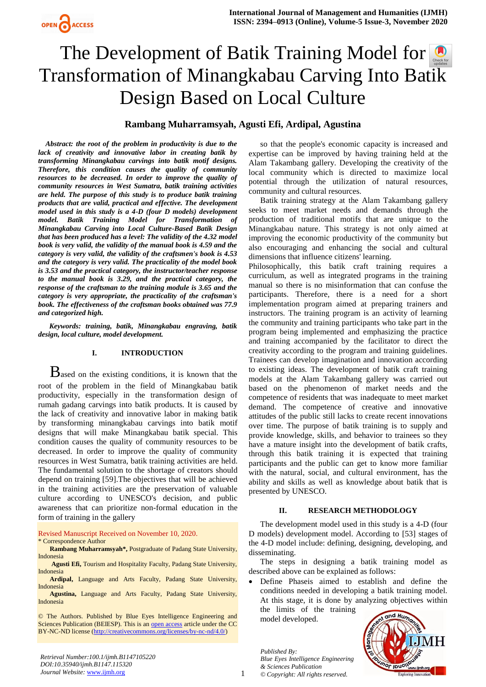# The Development of Batik Training Model for Transformation of Minangkabau Carving Into Ba[tik](https://crossmark.crossref.org/dialog/?doi=10.35940/ijmh.B1147.115320&domain=www.ijmh.org)  Design Based on Local Culture

# **Rambang Muharramsyah, Agusti Efi, Ardipal, Agustina**

*Abstract: the root of the problem in productivity is due to the lack of creativity and innovative labor in creating batik by transforming Minangkabau carvings into batik motif designs. Therefore, this condition causes the quality of community resources to be decreased. In order to improve the quality of community resources in West Sumatra, batik training activities are held. The purpose of this study is to produce batik training products that are valid, practical and effective. The development model used in this study is a 4-D (four D models) development model. Batik Training Model for Transformation of Minangkabau Carving into Local Culture-Based Batik Design that has been produced has a level: The validity of the 4.32 model book is very valid, the validity of the manual book is 4.59 and the category is very valid, the validity of the craftsmen's book is 4.53 and the category is very valid. The practicality of the model book is 3.53 and the practical category, the instructor/teacher response to the manual book is 3.29, and the practical category, the response of the craftsman to the training module is 3.65 and the category is very appropriate, the practicality of the craftsman's book. The effectiveness of the craftsman books obtained was 77.9 and categorized high.* 

*Keywords: training, batik, Minangkabau engraving, batik design, local culture, model development.*

## **I. INTRODUCTION**

**B**ased on the existing conditions, it is known that the root of the problem in the field of Minangkabau batik productivity, especially in the transformation design of rumah gadang carvings into batik products. It is caused by the lack of creativity and innovative labor in making batik by transforming minangkabau carvings into batik motif designs that will make Minangkabau batik special. This condition causes the quality of community resources to be decreased. In order to improve the quality of community resources in West Sumatra, batik training activities are held. The fundamental solution to the shortage of creators should depend on training [59].The objectives that will be achieved in the training activities are the preservation of valuable culture according to UNESCO's decision, and public awareness that can prioritize non-formal education in the form of training in the gallery

Revised Manuscript Received on November 10, 2020.

\* Correspondence Author

**Rambang Muharramsyah\*,** Postgraduate of Padang State University, Indonesia

**Agusti Efi,** Tourism and Hospitality Faculty, Padang State University, Indonesia

**Ardipal,** Language and Arts Faculty, Padang State University, Indonesia

**Agustina,** Language and Arts Faculty, Padang State University, Indonesia

© The Authors. Published by Blue Eyes Intelligence Engineering and Sciences Publication (BEIESP). This is an [open access](https://www.openaccess.nl/en/open-publications) article under the CC BY-NC-ND license [\(http://creativecommons.org/licenses/by-nc-nd/4.0/\)](http://creativecommons.org/licenses/by-nc-nd/4.0/)

so that the people's economic capacity is increased and expertise can be improved by having training held at the Alam Takambang gallery. Developing the creativity of the local community which is directed to maximize local potential through the utilization of natural resources, community and cultural resources.

Batik training strategy at the Alam Takambang gallery seeks to meet market needs and demands through the production of traditional motifs that are unique to the Minangkabau nature. This strategy is not only aimed at improving the economic productivity of the community but also encouraging and enhancing the social and cultural dimensions that influence citizens' learning.

Philosophically, this batik craft training requires a curriculum, as well as integrated programs in the training manual so there is no misinformation that can confuse the participants. Therefore, there is a need for a short implementation program aimed at preparing trainers and instructors. The training program is an activity of learning the community and training participants who take part in the program being implemented and emphasizing the practice and training accompanied by the facilitator to direct the creativity according to the program and training guidelines. Trainees can develop imagination and innovation according to existing ideas. The development of batik craft training models at the Alam Takambang gallery was carried out based on the phenomenon of market needs and the competence of residents that was inadequate to meet market demand. The competence of creative and innovative attitudes of the public still lacks to create recent innovations over time. The purpose of batik training is to supply and provide knowledge, skills, and behavior to trainees so they have a mature insight into the development of batik crafts, through this batik training it is expected that training participants and the public can get to know more familiar with the natural, social, and cultural environment, has the ability and skills as well as knowledge about batik that is presented by UNESCO.

#### **II. RESEARCH METHODOLOGY**

The development model used in this study is a 4-D (four D models) development model. According to [53] stages of the 4-D model include: defining, designing, developing, and disseminating.

The steps in designing a batik training model as described above can be explained as follows:

 Define Phaseis aimed to establish and define the conditions needed in developing a batik training model. At this stage, it is done by analyzing objectives within the limits of the training

model developed.

*Published By: Blue Eyes Intelligence Engineering & Sciences Publication © Copyright: All rights reserved.*

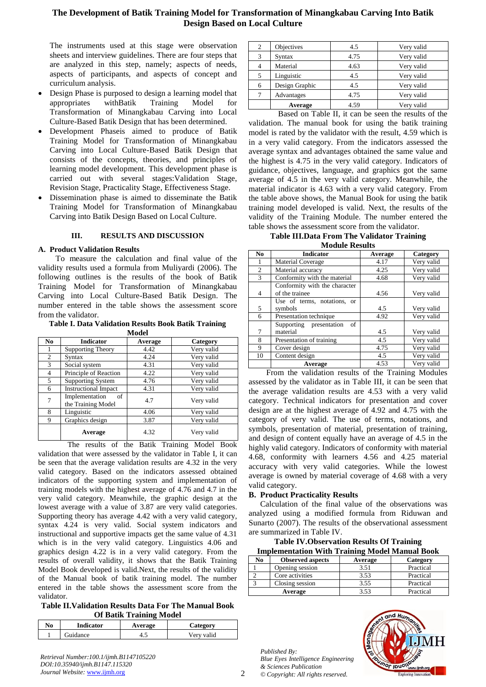# **The Development of Batik Training Model for Transformation of Minangkabau Carving Into Batik Design Based on Local Culture**

The instruments used at this stage were observation sheets and interview guidelines. There are four steps that are analyzed in this step, namely; aspects of needs, aspects of participants, and aspects of concept and curriculum analysis.

- Design Phase is purposed to design a learning model that appropriates withBatik Training Model for Transformation of Minangkabau Carving into Local Culture-Based Batik Design that has been determined.
- Development Phaseis aimed to produce of Batik Training Model for Transformation of Minangkabau Carving into Local Culture-Based Batik Design that consists of the concepts, theories, and principles of learning model development. This development phase is carried out with several stages:Validation Stage, Revision Stage, Practicality Stage, Effectiveness Stage.
- Dissemination phase is aimed to disseminate the Batik Training Model for Transformation of Minangkabau Carving into Batik Design Based on Local Culture.

#### **III. RESULTS AND DISCUSSION**

#### **A. Product Validation Results**

To measure the calculation and final value of the validity results used a formula from Muliyardi (2006). The following outlines is the results of the book of Batik Training Model for Transformation of Minangkabau Carving into Local Culture-Based Batik Design. The number entered in the table shows the assessment score from the validator.

**Table I. Data Validation Results Book Batik Training** 

| Model          |                                            |         |            |  |  |
|----------------|--------------------------------------------|---------|------------|--|--|
| N <sub>0</sub> | <b>Indicator</b>                           | Average | Category   |  |  |
|                | <b>Supporting Theory</b>                   | 4.42    | Very valid |  |  |
| 2              | Syntax                                     | 4.24    | Very valid |  |  |
| 3              | Social system                              | 4.31    | Very valid |  |  |
| 4              | Principle of Reaction                      | 4.22    | Very valid |  |  |
| 5              | <b>Supporting System</b>                   | 4.76    | Very valid |  |  |
| 6              | <b>Instructional Impact</b>                | 4.31    | Very valid |  |  |
| 7              | Implementation<br>of<br>the Training Model | 4.7     | Very valid |  |  |
| 8              | Linguistic                                 | 4.06    | Very valid |  |  |
| 9              | Graphics design                            | 3.87    | Very valid |  |  |
|                | Average                                    | 4.32    | Very valid |  |  |

The results of the Batik Training Model Book validation that were assessed by the validator in Table I, it can be seen that the average validation results are 4.32 in the very valid category. Based on the indicators assessed obtained indicators of the supporting system and implementation of training models with the highest average of 4.76 and 4.7 in the very valid category. Meanwhile, the graphic design at the lowest average with a value of 3.87 are very valid categories. Supporting theory has average 4.42 with a very valid category, syntax 4.24 is very valid. Social system indicators and instructional and supportive impacts get the same value of 4.31 which is in the very valid category. Linguistics 4.06 and graphics design 4.22 is in a very valid category. From the results of overall validity, it shows that the Batik Training Model Book developed is valid.Next, the results of the validity of the Manual book of batik training model. The number entered in the table shows the assessment score from the validator.

**Table II.Validation Results Data For The Manual Book Of Batik Training Model**

| No | <b>Indicator</b> | Average | <b>Category</b> |
|----|------------------|---------|-----------------|
|    | <b>Guidance</b>  |         | Verv valid      |
|    |                  |         |                 |

| 2 | Objectives     | 4.5  | Very valid |
|---|----------------|------|------------|
| 3 | Syntax         | 4.75 | Very valid |
| 4 | Material       | 4.63 | Very valid |
| 5 | Linguistic     | 4.5  | Very valid |
| 6 | Design Graphic | 4.5  | Very valid |
|   | Advantages     | 4.75 | Very valid |
|   | Average        | 4.59 | Verv valid |

Based on Table II, it can be seen the results of the validation. The manual book for using the batik training model is rated by the validator with the result, 4.59 which is in a very valid category. From the indicators assessed the average syntax and advantages obtained the same value and the highest is 4.75 in the very valid category. Indicators of guidance, objectives, language, and graphics got the same average of 4.5 in the very valid category. Meanwhile, the material indicator is 4.63 with a very valid category. From the table above shows, the Manual Book for using the batik training model developed is valid. Next, the results of the validity of the Training Module. The number entered the table shows the assessment score from the validator.

#### **Table III.Data From The Validator Training Module Results**

| No.            | <b>Indicator</b>              | Average | Category   |  |  |
|----------------|-------------------------------|---------|------------|--|--|
|                | <b>Material Coverage</b>      | 4.17    | Very valid |  |  |
| 2              | Material accuracy             | 4.25    | Very valid |  |  |
| 3              | Conformity with the material  | 4.68    | Very valid |  |  |
|                | Conformity with the character |         |            |  |  |
| $\overline{4}$ | of the trainee                | 4.56    | Very valid |  |  |
|                | Use of terms, notations, or   |         |            |  |  |
| 5              | symbols                       | 4.5     | Very valid |  |  |
| 6              | Presentation technique        | 4.92    | Very valid |  |  |
|                | Supporting presentation<br>of |         |            |  |  |
| 7              | material                      | 4.5     | Very valid |  |  |
| 8              | Presentation of training      | 4.5     | Very valid |  |  |
| 9              | Cover design                  | 4.75    | Very valid |  |  |
| 10             | Content design                | 4.5     | Very valid |  |  |
|                | Average                       | 4.53    | Very valid |  |  |

From the validation results of the Training Modules assessed by the validator as in Table III, it can be seen that the average validation results are 4.53 with a very valid category. Technical indicators for presentation and cover design are at the highest average of 4.92 and 4.75 with the category of very valid. The use of terms, notations, and symbols, presentation of material, presentation of training, and design of content equally have an average of 4.5 in the highly valid category. Indicators of conformity with material 4.68, conformity with learners 4.56 and 4.25 material accuracy with very valid categories. While the lowest average is owned by material coverage of 4.68 with a very valid category.

#### **B. Product Practicality Results**

Calculation of the final value of the observations was analyzed using a modified formula from Riduwan and Sunarto (2007). The results of the observational assessment are summarized in Table IV.

**Table IV.Observation Results Of Training Implementation With Training Model Manual Book**

| Thiplementation with Training Model Manual Book |                         |         |           |  |
|-------------------------------------------------|-------------------------|---------|-----------|--|
| No                                              | <b>Observed aspects</b> | Average | Category  |  |
|                                                 | Opening session         | 3.51    | Practical |  |
|                                                 | Core activities         | 3.53    | Practical |  |
|                                                 | Closing session         | 3.55    | Practical |  |
|                                                 | Average                 | 3.53    | Practical |  |

*Published By: Blue Eyes Intelligence Engineering & Sciences Publication © Copyright: All rights reserved.*



*Retrieval Number:100.1/ijmh.B1147105220 DOI:10.35940/ijmh.B1147.115320 Journal Website:* www.ijmh.org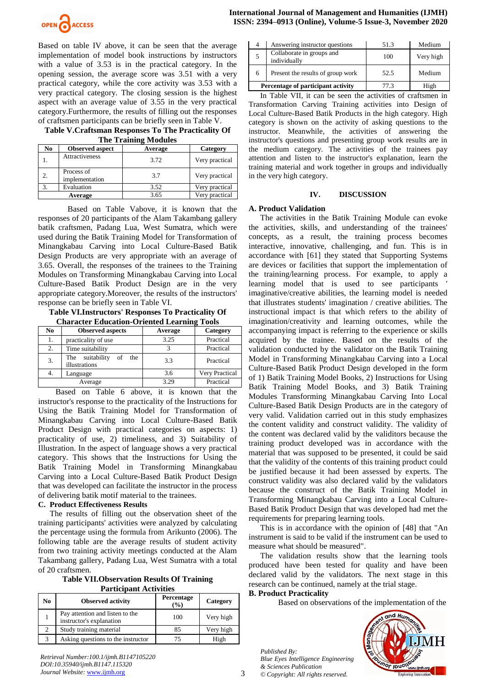

Based on table IV above, it can be seen that the average implementation of model book instructions by instructors with a value of 3.53 is in the practical category. In the opening session, the average score was 3.51 with a very practical category, while the core activity was 3.53 with a very practical category. The closing session is the highest aspect with an average value of 3.55 in the very practical category.Furthermore, the results of filling out the responses of craftsmen participants can be briefly seen in Table V.

**Table V.Craftsman Responses To The Practicality Of The Training Modules** 

| ne nemme modern |                              |         |                |  |
|-----------------|------------------------------|---------|----------------|--|
| No.             | <b>Observed aspect</b>       | Average | Category       |  |
|                 | Attractiveness               | 3.72    | Very practical |  |
| 2.              | Process of<br>implementation | 3.7     | Very practical |  |
| 3.              | Evaluation                   | 3.52    | Very practical |  |
|                 | Average                      | 3.65    | Very practical |  |

Based on Table Vabove, it is known that the responses of 20 participants of the Alam Takambang gallery batik craftsmen, Padang Lua, West Sumatra, which were used during the Batik Training Model for Transformation of Minangkabau Carving into Local Culture-Based Batik Design Products are very appropriate with an average of 3.65. Overall, the responses of the trainees to the Training Modules on Transforming Minangkabau Carving into Local Culture-Based Batik Product Design are in the very appropriate category.Moreover, the results of the instructors' response can be briefly seen in Table VI.

**Table VI.Instructors' Responses To Practicality Of Character Education-Oriented Learning Tools**

| No     | <b>Observed aspects</b>                       | Average          | Category       |  |
|--------|-----------------------------------------------|------------------|----------------|--|
| 1.     | practicality of use                           | 3.25             | Practical      |  |
| 2.     | Time suitability                              |                  | Practical      |  |
| 3.     | The suitability<br>the<br>of<br>illustrations | 3.3              | Practical      |  |
| 4.     | Language                                      | 3.6              | Very Practical |  |
|        | Average                                       | 3.29             | Practical      |  |
| $\sim$ | -<br>__<br>$\overline{\phantom{a}}$           | . .<br>$\bullet$ | .              |  |

Based on Table 6 above, it is known that the instructor's response to the practicality of the Instructions for Using the Batik Training Model for Transformation of Minangkabau Carving into Local Culture-Based Batik Product Design with practical categories on aspects: 1) practicality of use, 2) timeliness, and 3) Suitability of Illustration. In the aspect of language shows a very practical category. This shows that the Instructions for Using the Batik Training Model in Transforming Minangkabau Carving into a Local Culture-Based Batik Product Design that was developed can facilitate the instructor in the process of delivering batik motif material to the trainees.

# **C. Product Effectiveness Results**

The results of filling out the observation sheet of the training participants' activities were analyzed by calculating the percentage using the formula from Arikunto (2006). The following table are the average results of student activity from two training activity meetings conducted at the Alam Takambang gallery, Padang Lua, West Sumatra with a total of 20 craftsmen.

**Table VII.Observation Results Of Training Participant Activities**

| No            | <b>Observed activity</b>                                    | Percentage<br>$(\%)$ | Category  |
|---------------|-------------------------------------------------------------|----------------------|-----------|
|               | Pay attention and listen to the<br>instructor's explanation | 100                  | Very high |
| $\mathcal{D}$ | Study training material                                     | 85                   | Very high |
| $\mathcal{R}$ | Asking questions to the instructor                          |                      | High      |

|                                    | Answering instructor questions            | 51.3 | Medium    |
|------------------------------------|-------------------------------------------|------|-----------|
|                                    | Collaborate in groups and<br>individually | 100  | Very high |
| 6                                  | Present the results of group work         | 52.5 | Medium    |
| Percentage of participant activity |                                           | 77 3 | High      |

In Table VII, it can be seen the activities of craftsmen in Transformation Carving Training activities into Design of Local Culture-Based Batik Products in the high category. High category is shown on the activity of asking questions to the instructor. Meanwhile, the activities of answering the instructor's questions and presenting group work results are in the medium category. The activities of the trainees pay attention and listen to the instructor's explanation, learn the training material and work together in groups and individually in the very high category.

# **IV. DISCUSSION**

# **A. Product Validation**

The activities in the Batik Training Module can evoke the activities, skills, and understanding of the trainees' concepts, as a result, the training process becomes interactive, innovative, challenging, and fun. This is in accordance with [61] they stated that Supporting Systems are devices or facilities that support the implementation of the training/learning process. For example, to apply a learning model that is used to see participants imaginative/creative abilities, the learning model is needed that illustrates students' imagination / creative abilities. The instructional impact is that which refers to the ability of imagination/creativity and learning outcomes, while the accompanying impact is referring to the experience or skills acquired by the trainee. Based on the results of the validation conducted by the validator on the Batik Training Model in Transforming Minangkabau Carving into a Local Culture-Based Batik Product Design developed in the form of 1) Batik Training Model Books, 2) Instructions for Using Batik Training Model Books, and 3) Batik Training Modules Transforming Minangkabau Carving Into Local Culture-Based Batik Design Products are in the category of very valid. Validation carried out in this study emphasizes the content validity and construct validity. The validity of the content was declared valid by the validitors because the training product developed was in accordance with the material that was supposed to be presented, it could be said that the validity of the contents of this training product could be justified because it had been assessed by experts. The construct validity was also declared valid by the validators because the construct of the Batik Training Model in Transforming Minangkabau Carving into a Local Culture-Based Batik Product Design that was developed had met the requirements for preparing learning tools.

This is in accordance with the opinion of [48] that "An instrument is said to be valid if the instrument can be used to measure what should be measured".

The validation results show that the learning tools produced have been tested for quality and have been declared valid by the validators. The next stage in this research can be continued, namely at the trial stage.

# **B. Product Practicality**

Based on observations of the implementation of the

*Published By: Blue Eyes Intelligence Engineering & Sciences Publication © Copyright: All rights reserved.*



*Retrieval Number:100.1/ijmh.B1147105220 DOI:10.35940/ijmh.B1147.115320 Journal Website:* www.ijmh.org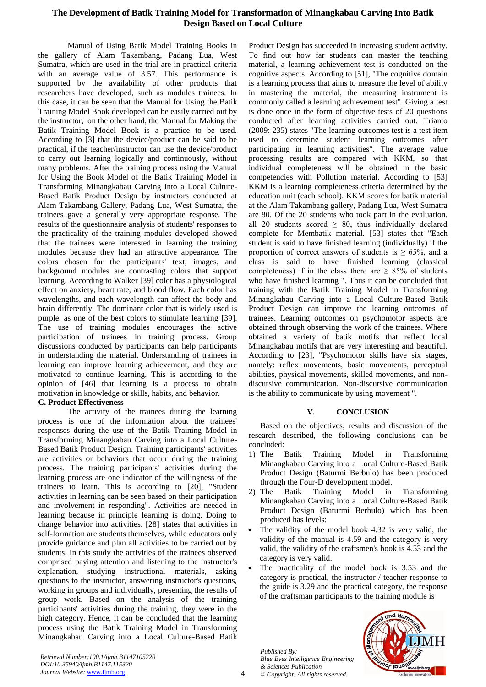# **The Development of Batik Training Model for Transformation of Minangkabau Carving Into Batik Design Based on Local Culture**

Manual of Using Batik Model Training Books in the gallery of Alam Takambang, Padang Lua, West Sumatra, which are used in the trial are in practical criteria with an average value of 3.57. This performance is supported by the availability of other products that researchers have developed, such as modules trainees. In this case, it can be seen that the Manual for Using the Batik Training Model Book developed can be easily carried out by the instructor, on the other hand, the Manual for Making the Batik Training Model Book is a practice to be used. According to [3] that the device/product can be said to be practical, if the teacher/instructor can use the device/product to carry out learning logically and continuously, without many problems. After the training process using the Manual for Using the Book Model of the Batik Training Model in Transforming Minangkabau Carving into a Local Culture-Based Batik Product Design by instructors conducted at Alam Takambang Gallery, Padang Lua, West Sumatra, the trainees gave a generally very appropriate response. The results of the questionnaire analysis of students' responses to the practicality of the training modules developed showed that the trainees were interested in learning the training modules because they had an attractive appearance. The colors chosen for the participants' text, images, and background modules are contrasting colors that support learning. According to Walker [39] color has a physiological effect on anxiety, heart rate, and blood flow. Each color has wavelengths, and each wavelength can affect the body and brain differently. The dominant color that is widely used is purple, as one of the best colors to stimulate learning [39]. The use of training modules encourages the active participation of trainees in training process. Group discussions conducted by participants can help participants in understanding the material. Understanding of trainees in learning can improve learning achievement, and they are motivated to continue learning. This is according to the opinion of [46] that learning is a process to obtain motivation in knowledge or skills, habits, and behavior.

#### **C. Product Effectiveness**

The activity of the trainees during the learning process is one of the information about the trainees' responses during the use of the Batik Training Model in Transforming Minangkabau Carving into a Local Culture-Based Batik Product Design. Training participants' activities are activities or behaviors that occur during the training process. The training participants' activities during the learning process are one indicator of the willingness of the trainees to learn. This is according to [20], "Student activities in learning can be seen based on their participation and involvement in responding". Activities are needed in learning because in principle learning is doing. Doing to change behavior into activities. [28] states that activities in self-formation are students themselves, while educators only provide guidance and plan all activities to be carried out by students. In this study the activities of the trainees observed comprised paying attention and listening to the instructor's explanation, studying instructional materials, asking questions to the instructor, answering instructor's questions, working in groups and individually, presenting the results of group work. Based on the analysis of the training participants' activities during the training, they were in the high category. Hence, it can be concluded that the learning process using the Batik Training Model in Transforming Minangkabau Carving into a Local Culture-Based Batik

Product Design has succeeded in increasing student activity. To find out how far students can master the teaching material, a learning achievement test is conducted on the cognitive aspects. According to [51], "The cognitive domain is a learning process that aims to measure the level of ability in mastering the material, the measuring instrument is commonly called a learning achievement test". Giving a test is done once in the form of objective tests of 20 questions conducted after learning activities carried out. Trianto (2009: 235**)** states "The learning outcomes test is a test item used to determine student learning outcomes after participating in learning activities". The average value processing results are compared with KKM, so that individual completeness will be obtained in the basic competencies with Pollution material. According to [53] KKM is a learning completeness criteria determined by the education unit (each school). KKM scores for batik material at the Alam Takambang gallery, Padang Lua, West Sumatra are 80. Of the 20 students who took part in the evaluation, all 20 students scored  $\geq 80$ , thus individually declared complete for Membatik material. [53] states that "Each student is said to have finished learning (individually) if the proportion of correct answers of students is  $\geq 65\%$ , and a class is said to have finished learning (classical completeness) if in the class there are  $\geq$  85% of students who have finished learning ". Thus it can be concluded that training with the Batik Training Model in Transforming Minangkabau Carving into a Local Culture-Based Batik Product Design can improve the learning outcomes of trainees. Learning outcomes on psychomotor aspects are obtained through observing the work of the trainees. Where obtained a variety of batik motifs that reflect local Minangkabau motifs that are very interesting and beautiful. According to [23], "Psychomotor skills have six stages, namely: reflex movements, basic movements, perceptual abilities, physical movements, skilled movements, and nondiscursive communication. Non-discursive communication is the ability to communicate by using movement ".

# **V. CONCLUSION**

Based on the objectives, results and discussion of the research described, the following conclusions can be concluded:

- 1) The Batik Training Model in Transforming Minangkabau Carving into a Local Culture-Based Batik Product Design (Baturmi Berbulo) has been produced through the Four-D development model.
- 2) The Batik Training Model in Transforming Minangkabau Carving into a Local Culture-Based Batik Product Design (Baturmi Berbulo) which has been produced has levels:
- The validity of the model book 4.32 is very valid, the validity of the manual is 4.59 and the category is very valid, the validity of the craftsmen's book is 4.53 and the category is very valid.
- The practicality of the model book is 3.53 and the category is practical, the instructor / teacher response to the guide is 3.29 and the practical category, the response of the craftsman participants to the training module is

*Published By: Blue Eyes Intelligence Engineering & Sciences Publication © Copyright: All rights reserved.*



*Retrieval Number:100.1/ijmh.B1147105220 DOI:10.35940/ijmh.B1147.115320 Journal Website:* www.ijmh.org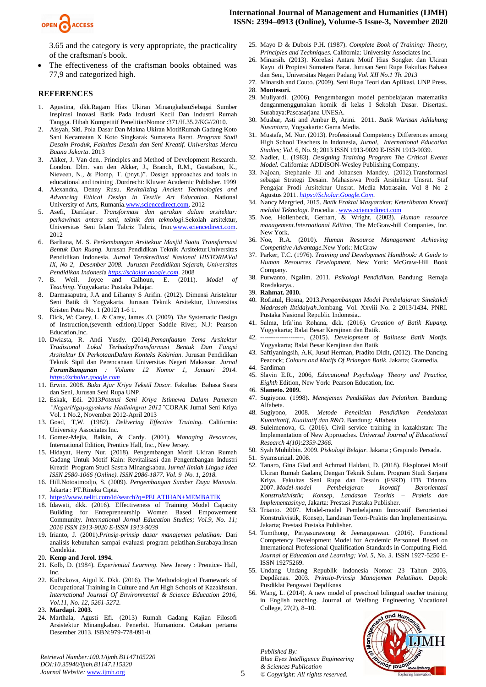

3.65 and the category is very appropriate, the practicality of the craftsman's book.

 The effectiveness of the craftsman books obtained was 77,9 and categorized high.

#### **REFERENCES**

- 1. Agustina, dkk.Ragam Hias Ukiran MinangkabauSebagai Sumber Inspirasi Inovasi Batik Pada Industri Kecil Dan Industri Rumah Tangga. Hibah Kompetitif PenelitianNomor :371/H.35.2/KG//2010.
- 2. Aisyah, Siti. Pola Dasar Dan Makna Ukiran MotifRumah Gadang Koto Sani Kecamatan X Koto Singkarak Sumatera Barat. *Program Studi Desain Produk, Fakultas Desain dan Seni Kreatif. Universitas Mercu Buana Jakarta*. 2013
- Akker, J. Van den.. Principles and Method of Development Research. London. Dlm. van den Akker, J., Branch, R.M., Gustafson, K., Nieveen, N., & Plomp, T. (pnyt.)". Design approaches and tools in educational and training .Dordrecht: Kluwer Academic Publisher. 1999
- 4. Alexandra, Denny Rusu. *Revitalizing Ancient Technologies and Advancing Ethical Design in Textile Art Education*. National University of Arts, Rumani[a.www.sciencedirect.com.](http://www.sciencedirect.com/) 2012
- 5. Asefi, Darifajar. . *Transformasi dan gerakan dalam arsitektur: perkawinan antara seni, teknik dan teknologi.*Sekolah arsitektur, Universitas Seni Islam Tabriz Tabriz, Ira[n.www.sciencedirect.com.](http://www.sciencedirect.com/)  2012
- 6. Barliana, M. S. *Perkembangan Arsitektur Masjid Suatu Transformasi Bentuk Dan Ruang.* Jurusan Pendidikan Teknik ArsitekturUniversitas Pendidikan Indonesia. *Jurnal Terakreditasi Nasional HISTORIAVol IX, No 2, Desember 2008. Jurusan Pendidikan Sejarah, Universitas Pendidikan Indonesi*a *[https://scholar.google.com](https://scholar.google.com/)*. 2008
- 7. B. Weil. Joyce and Calhoun, E. (2011). *Model of Teaching*. Yogyakarta: Pustaka Pelajar.
- 8. Darmasaputra, J.A and Lilianny S Arifin. (2012). Dimensi Aristektur Seni Batik di Yogyakarta. Jurusan Teknik Arsitektur, Universitas Kristen Petra No. 1 (2012) 1-6 1.
- 9. Dick, W; Carey, L & Carey, James .O. (2009). *The* Systematic Design of Instruction,(seventh edition)*.*Upper Saddle River, N.J: Pearson Education,Inc.
- 10. Dwiasta, R. Andi Yusdy. (2014).*Pemanfaatan Tema Arsitektur Tradisional Lokal TerhadapTransformasi Bentuk Dan Fungsi Arsitektur Di PerkotaanDalam Konteks Kekinian.* Jurusan Pendidikan Teknik Sipil dan Perencanaan Universitas Negeri Makassar*. Jurnal ForumBangunan : Volume 12 Nomor 1, Januari 2014. [https://scholar.google.com](https://scholar.google.com/)*
- 11. Erwin. 2008. *Buku Ajar Kriya Tekstil Dasar.* Fakultas Bahasa Sasra dan Seni, Jurusan Seni Rupa UNP.
- 12. Eskak, Edi*.* 2013*Potensi Seni Kriya Istimewa Dalam Pameran "NegariNgayogyakarta Hadiningrat 2012"*CORAK Jurnal Seni Kriya Vol. 1 No.2, November 2012-April 2013
- 13. Goad, T,W. (1982). *Delivering Effective Training.* California: University Associates Inc.
- 14. Gomez-Mejia, Balkin, & Cardy. (2001). *Managing Resources*, International Edition, Prentice Hall, Inc., New Jersey.
- 15. Hidayat, Herry Nur. (2018). Pengembangan Motif Ukiran Rumah Gadang Untuk Motif Kain: Revitalisasi dan Pengembangan Industri Kreatif Program Studi Sastra Minangkabau. J*urnal Ilmiah Lingua Idea ISSN 2580-1066 (Online). ISSN 2086-1877. Vol. 9 No. 1, 2018.*
- 16. Hill.Notoatmodjo, S. (2009). *Pengembangan Sumber Daya Manusia.* Jakarta : PT.Rineka Cipta.
- 17. <https://www.neliti.com/id/search?q=PELATIHAN+MEMBATIK>
- 18. Idawati, dkk. (2016). Effectiveness of Training Model Capacity Building for Entrepreneurship Women Based Empowerment Community. *International Jornal Education Studies; Vol.9, No. 11; 2016 ISSN 1913-9020 E-ISSN 1913-9039*
- 19. Irianto, J. (2001).*Prinsip-prinsip dasar manajemen pelatihan:* Dari analisis kebutuhan sampai evaluasi program pelatihan.Surabaya:Insan Cendekia*.*
- 20. **Kemp and Jerol. 1994.**
- 21. Kolb, D. (1984). *Experiential Learning.* New Jersey : Prentice- Hall, Inc.
- 22. Kulbekova, Аigul K. Dkk. (2016). The Methodological Framework of Occupational Training in Culture and Art High Schools of Kazakhstan. *International Journal Of Environmental & Science Education 2016, Vol.11, No. 12, 5261-5272.*
- 23. **Mardapi. 2003.**
- 24. Marthala, Agusti Efi. (2013) Rumah Gadang Kajian Filosofi Arsistektur Minangkabau. Penerbit. Humaniora. Cetakan pertama Desember 2013. ISBN:979-778-091-0.

*Retrieval Number:100.1/ijmh.B1147105220 DOI:10.35940/ijmh.B1147.115320 Journal Website:* www.ijmh.org

- 25. Mayo D & Dubois P.H. (1987). *Complete Book of Training: Theory, Principles and Techniques.* California: University Associates Inc.
- 26. Minarsih. (2013). Korelasi Antara Motif Hias Songket dan Ukiran Kayu di Propinsi Sumatera Barat. Jurusan Seni Rupa Fakultas Bahasa dan Seni, Universitas Negeri Padang *Vol. XII No.1 Th. 2013*
- 27. Minarsih and Couto. (2009). Seni Rupa Teori dan Aplikasi. UNP Press. 28. **Montesori.**
- 
- 29. Muliyardi. (2006). Pengembangan model pembelajaran matematika denganmenggunakan komik di kelas I Sekolah Dasar*.* Disertasi. Surabaya:Pascasarjana UNESA.
- 30. Musbar, Asti and Ambar B, Arini. 2011. *Batik Warisan Adiluhung Nusantara*, Yogyakarta: Gama Media.
- 31. Mustafa, M. Nur. (2013). Professional Competency Differences among High School Teachers in Indonesia, *Jurnal, International Education Studies; Vol*. 6, No. 9; 2013 ISSN 1913-9020 E-ISSN 1913-9039.
- 32. Nadler, L. (1983). *Designing Training Program The Critical Events Model.* California: ADDISON-Wesley Publishing Company.
- 33. Najoan, Stephanie Jil and Johansen Mandey. (2012).Transformasi sebagai Strategi Desain. Mahasiswa Prodi Arsitektur Unsrat. Staf Pengajar Prodi Arsitektur Unsrat. Media Matrasain. Vol 8 No 2 Agustus 2011. *[https://Scholar.Google.Com](https://scholar.google.com/)*.
- 34. Nancy Margried, 2015. *Batik Fraktal Masyarakat: Keterlibatan Kreatif melalui Teknologi.* Procedia . [www.sciencedirect.com](http://www.sciencedirect.com/)
- 35. Noe, Hollenbeck, Gerhart, & Wright. (2003). *Human resource management.International Edition,* The McGraw-hill Companies, Inc. New York.
- 36. Noe, R.A. (2010). *Human Resource Management Achieving Competitive Advantage.*New York: McGraw
- 37. Parker, T.C. (1976). *Training and Development Handbook: A Guide to Human Resources Development.* New York: McGraw-Hill Book Company.
- 38. Purwanto, Ngalim. 2011. *Psikologi Pendidikan*. Bandung; Remaja Rosdakarya..
- 39. **Rahmat. 2010.**
- 40. Rofiatul, Hosna, 2013.*Pengembangan Model Pembelajaran Sinektikdi Madrasah Ibtidaiyah.*Jombang. Vol. Xxviii No. 2 2013/1434. PNRI. Pustaka Nasional Republic Indonesia..
- 41. Salma, Irfa'ina Rohana, dkk. (2016). *Creation of Batik Kupang.*  Yogyakarta; Balai Besar Kerajinan dan Batik.
- 42. --------------------. (2015). *Development of Balinese Batik Motifs.*  Yogyakarta; Balai Besar Kerajinan dan Batik
- 43. Saftiyaningsih, A.K, Jusuf Herman, Pradito Didit, (2012). The Dancing Peacock; *Colours and Motifs Of Priangan Batik*. Jakarta; Gramedia.
- 44. Sardiman
- 45. Slavin E.R., 2006, *Educational Psychology Theory and Practice, Eighth* Edition, New York: Pearson Education, Inc.
- 46. **Slameto. 2009.**
- 47. Sugiyono. (1998). *Menejemen Pendidikan dan Pelatihan.* Bandung: Alfabeta.
- 48. Sugiyono, 2008. *Metode Penelitian Pendidikan Pendekatan Kuantitatif, Kualitatif dan R&D*. Bandung: Alfabeta
- 49. Suleimenova, G. (2016). Civil service training in kazakhstan: The Implementation of New Approaches. *Universal Journal of Educational Research 4(10):2359-2366.*
- 50. Syah Muhibbin. 2009. *Piskologi Belajar*. Jakarta ; Grapindo Persada.
- 51. Syamsurizal. 2008.
- 52. Tanaro, Gina Glad and Achmad Haldani, D. (2018). Eksplorasi Motif Ukiran Rumah Gadang Dengan Teknik Sulam. Program Studi Sarjana Kriya, Fakultas Seni Rupa dan Desain (FSRD) ITB Trianto. 2007. *Model-model Pembelajaran Inovatif Berorientasi Konstruktivistik; Konsep, Landasan Teoritis* -*Implementasinya*, Jakarta: Prestasi Pustaka Publisher.
- 53. Trianto. 2007. Model-model Pembelajaran Innovatif Berorientasi Konstrukvistik, Konsep, Landasan Teori-Praktis dan Implementasinya. Jakarta; Prestasi Pustaka Publisher.
- 54. Tumthong, Piriyasurawong & Jeerangsuwan. (2016). Functional Competency Development Model for Academic Personnel Based on International Professional Qualification Standards in Computing Field. *Journal of Education and Learning; Vol. 5, No. 3.* ISSN 1927-5250 E-ISSN 19275269.
- 55. Undang Undang Republik Indonesia Nomor 23 Tahun 2003, Depdiknas. 2003. *Prinsip-Prinsip Manajemen Pelatihan*. Depok: Pusdiklat Pengawai Depdiknas
- 56. Wang, L. (2014). A new model of preschool bilingual teacher training in English teaching. Journal of Weifang Engineering Vocational College, 27(2), 8–10.

*Published By: Blue Eyes Intelligence Engineering & Sciences Publication © Copyright: All rights reserved.*